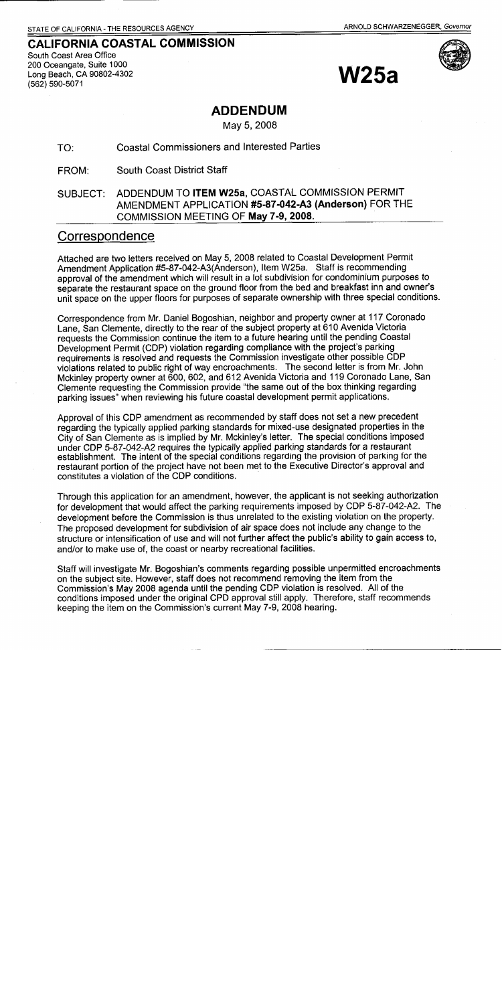# **CALIFORNIA COASTAL COMMISSION** South Coast Area Office

200 Oceangate, Suite 1000 Long Beach, CA 90802-4302 (562) 590-5071





## **ADDENDUM**

May 5, 2008

#### **Coastal Commissioners and Interested Parties** TO:

**South Coast District Staff** FROM:

#### ADDENDUM TO ITEM W25a, COASTAL COMMISSION PERMIT SUBJECT: AMENDMENT APPLICATION #5-87-042-A3 (Anderson) FOR THE COMMISSION MEETING OF May 7-9, 2008.

#### Correspondence

Attached are two letters received on May 5, 2008 related to Coastal Development Permit Amendment Application #5-87-042-A3(Anderson), Item W25a. Staff is recommending approval of the amendment which will result in a lot subdivision for condominium purposes to separate the restaurant space on the ground floor from the bed and breakfast inn and owner's unit space on the upper floors for purposes of separate ownership with three special conditions.

Correspondence from Mr. Daniel Bogoshian, neighbor and property owner at 117 Coronado Lane. San Clemente, directly to the rear of the subject property at 610 Avenida Victoria requests the Commission continue the item to a future hearing until the pending Coastal Development Permit (CDP) violation regarding compliance with the project's parking requirements is resolved and requests the Commission investigate other possible CDP violations related to public right of way encroachments. The second letter is from Mr. John Mckinley property owner at 600, 602, and 612 Avenida Victoria and 119 Coronado Lane, San Clemente requesting the Commission provide "the same out of the box thinking regarding parking issues" when reviewing his future coastal development permit applications.

Approval of this CDP amendment as recommended by staff does not set a new precedent regarding the typically applied parking standards for mixed-use designated properties in the City of San Clemente as is implied by Mr. Mckinley's letter. The special conditions imposed under CDP 5-87-042-A2 requires the typically applied parking standards for a restaurant establishment. The intent of the special conditions regarding the provision of parking for the restaurant portion of the project have not been met to the Executive Director's approval and constitutes a violation of the CDP conditions.

Through this application for an amendment, however, the applicant is not seeking authorization for development that would affect the parking requirements imposed by CDP 5-87-042-A2. The development before the Commission is thus unrelated to the existing violation on the property. The proposed development for subdivision of air space does not include any change to the structure or intensification of use and will not further affect the public's ability to gain access to, and/or to make use of, the coast or nearby recreational facilities.

Staff will investigate Mr. Bogoshian's comments regarding possible unpermitted encroachments on the subject site. However, staff does not recommend removing the item from the Commission's May 2008 agenda until the pending CDP violation is resolved. All of the conditions imposed under the original CPD approval still apply. Therefore, staff recommends keeping the item on the Commission's current May 7-9, 2008 hearing.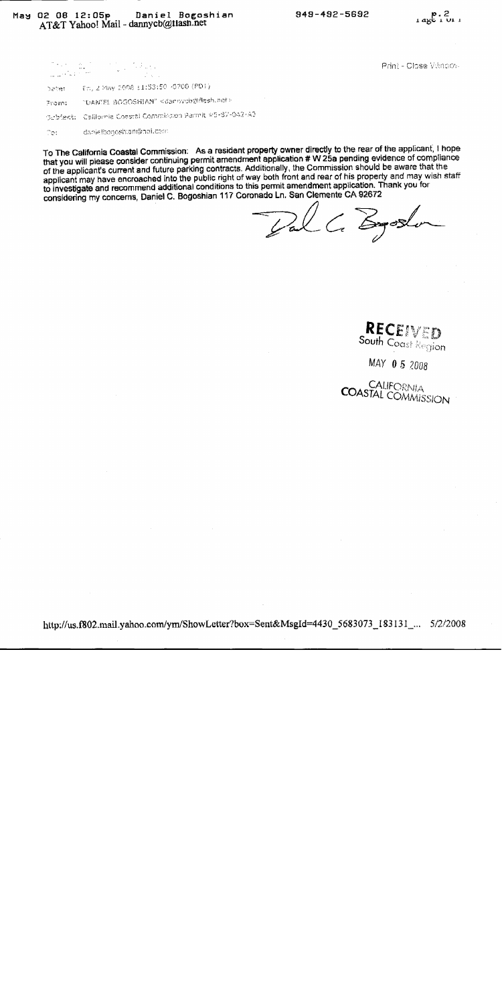Print - Close Vitngov-

| Samed II | Fm, 2 May 2008 11:53:50 -0700 (PDT)                          |
|----------|--------------------------------------------------------------|
| From:    | "DANTEL SOGOSHIAN" <damnycb@flesh.net></damnycb@flesh.net>   |
|          | 3rbieni: - California Coastal Commission Permit #5-87-042-A3 |
| Terri    | danielbogoshtan@noi.com                                      |

To The California Coastal Commission: As a resident property owner directly to the rear of the applicant, I hope that you will please consider continuing permit amendment application # W 25a pending evidence of compliance of the applicant's current and future parking contracts. Additionally, the Commission should be aware that the applicant may have encroached into the public right of way both front and rear of his property and may wish staff to investigate and recommend additional conditions to this permit amendment application. Thank you for considering my concerns, Daniel C. Bogoshian 117 Coronado Ln. San Clemente CA 92672

Pal C. Egoslo

**RECEIVED**<br>South Coast Region

MAY 05 2008

**COASTAL COMMISSION**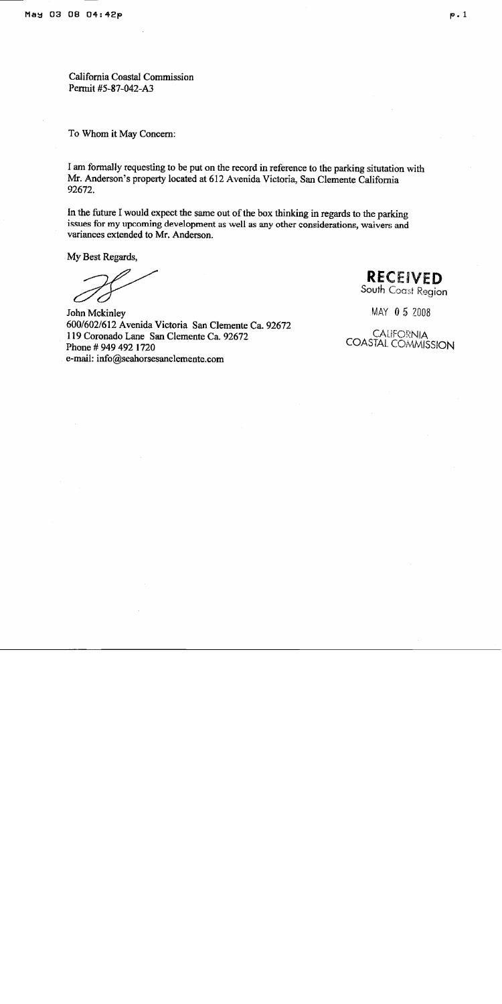California Coastal Commission Permit #5-87-042-A3

To Whom it May Concern:

I am formally requesting to be put on the record in reference to the parking situtation with Mr. Anderson's property located at 612 Avenida Victoria, San Clemente California 92672.

In the future I would expect the same out of the box thinking in regards to the parking issues for my upcoming development as well as any other considerations, waivers and variances extended to Mr. Anderson.

My Best Regards,

John Mckinley 600/602/612 Avenida Victoria San Clemente Ca. 92672 119 Coronado Lane San Clemente Ca. 92672 Phone #949 492 1720 e-mail: info@seahorsesanclemente.com

**RECEIVED** South Coast Region

MAY 05 2008

**CALIFORNIA COASTAL COMMISSION**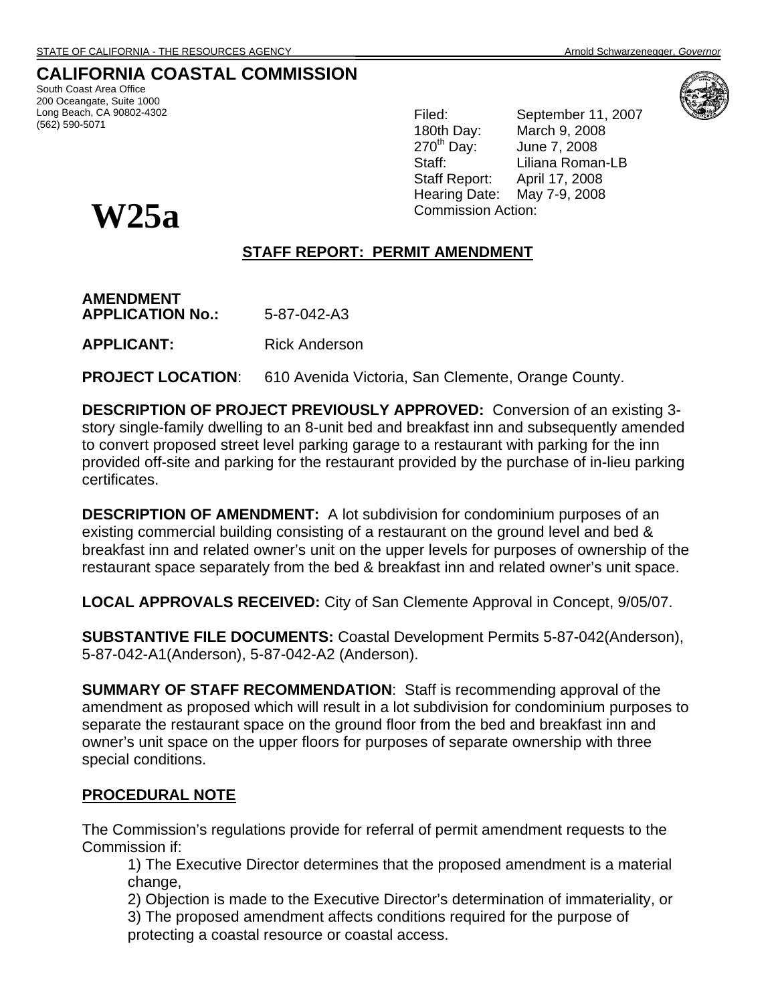**CALIFORNIA COASTAL COMMISSION** 

South Coast Area Office 200 Oceangate, Suite 1000 Long Beach, CA 90802-4302 (562) 590-5071

Filed: September 11, 2007 180th Day: March 9, 2008<br>270<sup>th</sup> Day: June 7, 2008 June 7, 2008 Staff: Liliana Roman-LB Staff Report: April 17, 2008 Hearing Date: May 7-9, 2008 Commission Action:



#### **STAFF REPORT: PERMIT AMENDMENT**

**AMENDMENT APPLICATION No.:** 5-87-042-A3 **APPLICANT:** Rick Anderson

**PROJECT LOCATION:** 610 Avenida Victoria, San Clemente, Orange County.

**DESCRIPTION OF PROJECT PREVIOUSLY APPROVED:** Conversion of an existing 3 story single-family dwelling to an 8-unit bed and breakfast inn and subsequently amended to convert proposed street level parking garage to a restaurant with parking for the inn provided off-site and parking for the restaurant provided by the purchase of in-lieu parking certificates.

**DESCRIPTION OF AMENDMENT:** A lot subdivision for condominium purposes of an existing commercial building consisting of a restaurant on the ground level and bed & breakfast inn and related owner's unit on the upper levels for purposes of ownership of the restaurant space separately from the bed & breakfast inn and related owner's unit space.

**LOCAL APPROVALS RECEIVED:** City of San Clemente Approval in Concept, 9/05/07.

**SUBSTANTIVE FILE DOCUMENTS:** Coastal Development Permits 5-87-042(Anderson), 5-87-042-A1(Anderson), 5-87-042-A2 (Anderson).

**SUMMARY OF STAFF RECOMMENDATION**: Staff is recommending approval of the amendment as proposed which will result in a lot subdivision for condominium purposes to separate the restaurant space on the ground floor from the bed and breakfast inn and owner's unit space on the upper floors for purposes of separate ownership with three special conditions.

#### **PROCEDURAL NOTE**

The Commission's regulations provide for referral of permit amendment requests to the Commission if:

1) The Executive Director determines that the proposed amendment is a material change,

- 2) Objection is made to the Executive Director's determination of immateriality, or
- 3) The proposed amendment affects conditions required for the purpose of protecting a coastal resource or coastal access.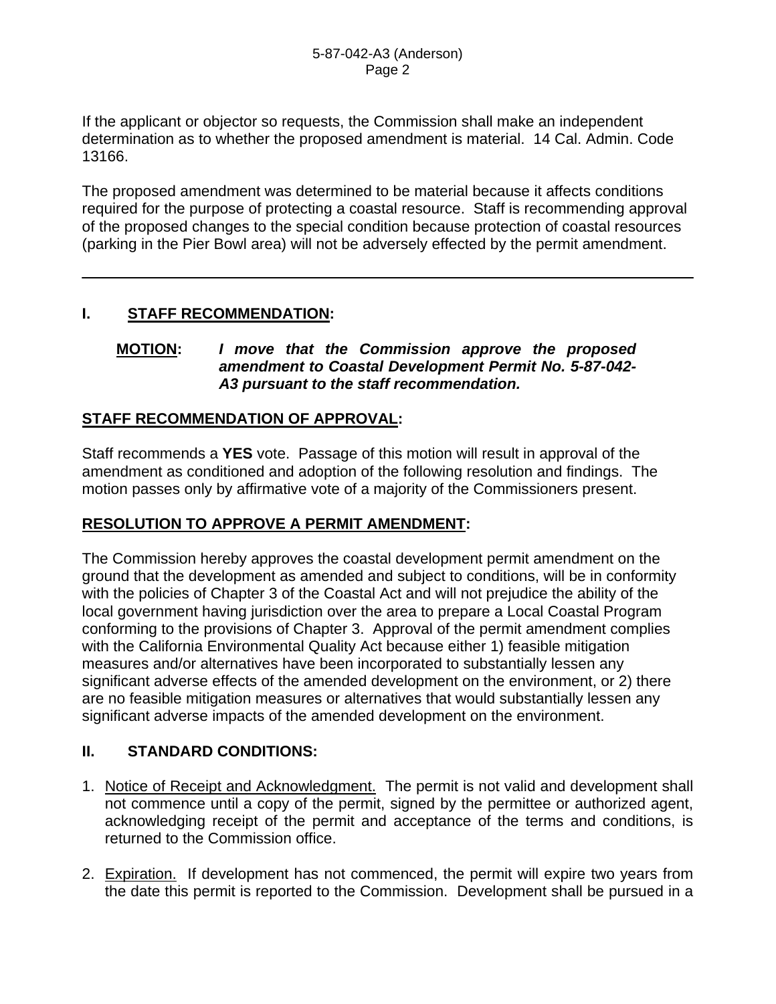If the applicant or objector so requests, the Commission shall make an independent determination as to whether the proposed amendment is material. 14 Cal. Admin. Code 13166.

The proposed amendment was determined to be material because it affects conditions required for the purpose of protecting a coastal resource. Staff is recommending approval of the proposed changes to the special condition because protection of coastal resources (parking in the Pier Bowl area) will not be adversely effected by the permit amendment.

#### **I. STAFF RECOMMENDATION:**

#### **MOTION:** *I move that the Commission approve the proposed amendment to Coastal Development Permit No. 5-87-042- A3 pursuant to the staff recommendation.*

#### **STAFF RECOMMENDATION OF APPROVAL:**

Staff recommends a **YES** vote. Passage of this motion will result in approval of the amendment as conditioned and adoption of the following resolution and findings. The motion passes only by affirmative vote of a majority of the Commissioners present.

#### **RESOLUTION TO APPROVE A PERMIT AMENDMENT:**

The Commission hereby approves the coastal development permit amendment on the ground that the development as amended and subject to conditions, will be in conformity with the policies of Chapter 3 of the Coastal Act and will not prejudice the ability of the local government having jurisdiction over the area to prepare a Local Coastal Program conforming to the provisions of Chapter 3. Approval of the permit amendment complies with the California Environmental Quality Act because either 1) feasible mitigation measures and/or alternatives have been incorporated to substantially lessen any significant adverse effects of the amended development on the environment, or 2) there are no feasible mitigation measures or alternatives that would substantially lessen any significant adverse impacts of the amended development on the environment.

#### **II. STANDARD CONDITIONS:**

- 1. Notice of Receipt and Acknowledgment. The permit is not valid and development shall not commence until a copy of the permit, signed by the permittee or authorized agent, acknowledging receipt of the permit and acceptance of the terms and conditions, is returned to the Commission office.
- 2. Expiration. If development has not commenced, the permit will expire two years from the date this permit is reported to the Commission. Development shall be pursued in a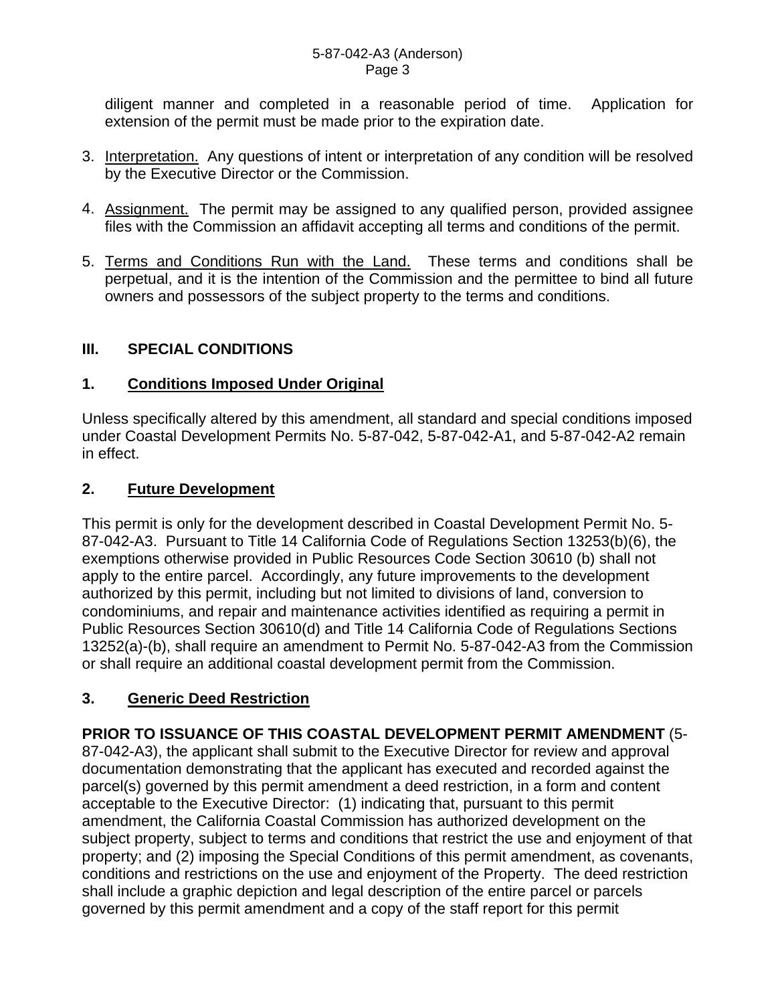diligent manner and completed in a reasonable period of time. Application for extension of the permit must be made prior to the expiration date.

- 3. Interpretation. Any questions of intent or interpretation of any condition will be resolved by the Executive Director or the Commission.
- 4. Assignment. The permit may be assigned to any qualified person, provided assignee files with the Commission an affidavit accepting all terms and conditions of the permit.
- 5. Terms and Conditions Run with the Land. These terms and conditions shall be perpetual, and it is the intention of the Commission and the permittee to bind all future owners and possessors of the subject property to the terms and conditions.

#### **III. SPECIAL CONDITIONS**

#### **1. Conditions Imposed Under Original**

Unless specifically altered by this amendment, all standard and special conditions imposed under Coastal Development Permits No. 5-87-042, 5-87-042-A1, and 5-87-042-A2 remain in effect.

#### **2. Future Development**

This permit is only for the development described in Coastal Development Permit No. 5- 87-042-A3. Pursuant to Title 14 California Code of Regulations Section 13253(b)(6), the exemptions otherwise provided in Public Resources Code Section 30610 (b) shall not apply to the entire parcel. Accordingly, any future improvements to the development authorized by this permit, including but not limited to divisions of land, conversion to condominiums, and repair and maintenance activities identified as requiring a permit in Public Resources Section 30610(d) and Title 14 California Code of Regulations Sections 13252(a)-(b), shall require an amendment to Permit No. 5-87-042-A3 from the Commission or shall require an additional coastal development permit from the Commission.

#### **3. Generic Deed Restriction**

**PRIOR TO ISSUANCE OF THIS COASTAL DEVELOPMENT PERMIT AMENDMENT** (5- 87-042-A3), the applicant shall submit to the Executive Director for review and approval documentation demonstrating that the applicant has executed and recorded against the parcel(s) governed by this permit amendment a deed restriction, in a form and content acceptable to the Executive Director: (1) indicating that, pursuant to this permit amendment, the California Coastal Commission has authorized development on the subject property, subject to terms and conditions that restrict the use and enjoyment of that property; and (2) imposing the Special Conditions of this permit amendment, as covenants, conditions and restrictions on the use and enjoyment of the Property. The deed restriction shall include a graphic depiction and legal description of the entire parcel or parcels governed by this permit amendment and a copy of the staff report for this permit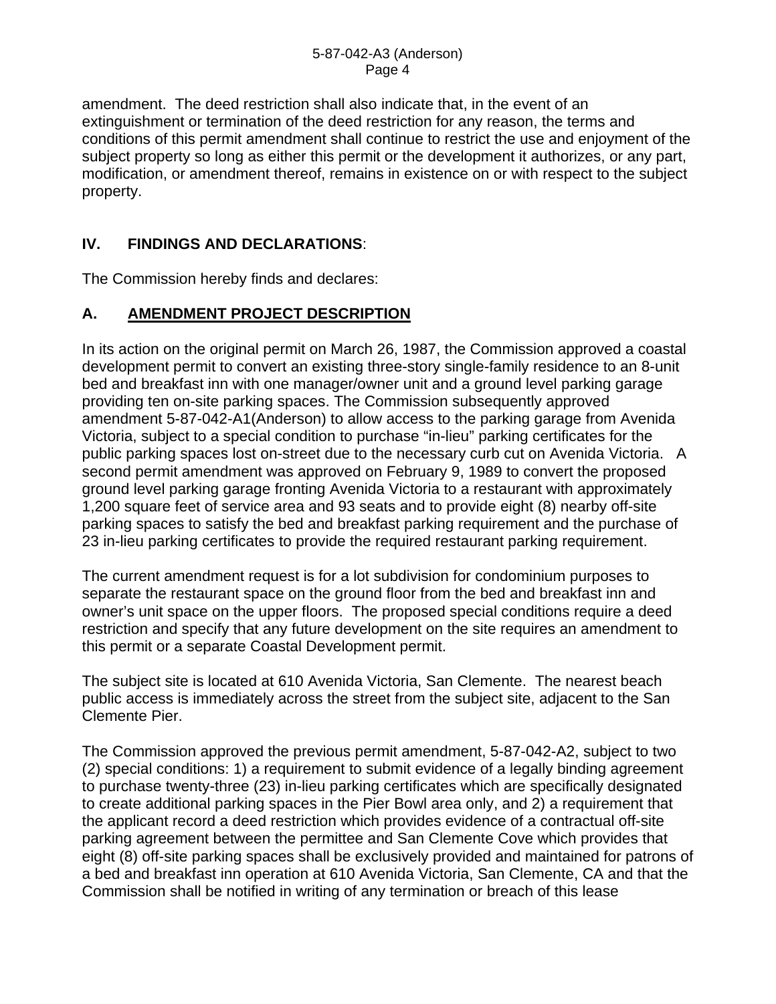amendment. The deed restriction shall also indicate that, in the event of an extinguishment or termination of the deed restriction for any reason, the terms and conditions of this permit amendment shall continue to restrict the use and enjoyment of the subject property so long as either this permit or the development it authorizes, or any part, modification, or amendment thereof, remains in existence on or with respect to the subject property.

#### **IV. FINDINGS AND DECLARATIONS**:

The Commission hereby finds and declares:

#### **A. AMENDMENT PROJECT DESCRIPTION**

In its action on the original permit on March 26, 1987, the Commission approved a coastal development permit to convert an existing three-story single-family residence to an 8-unit bed and breakfast inn with one manager/owner unit and a ground level parking garage providing ten on-site parking spaces. The Commission subsequently approved amendment 5-87-042-A1(Anderson) to allow access to the parking garage from Avenida Victoria, subject to a special condition to purchase "in-lieu" parking certificates for the public parking spaces lost on-street due to the necessary curb cut on Avenida Victoria. A second permit amendment was approved on February 9, 1989 to convert the proposed ground level parking garage fronting Avenida Victoria to a restaurant with approximately 1,200 square feet of service area and 93 seats and to provide eight (8) nearby off-site parking spaces to satisfy the bed and breakfast parking requirement and the purchase of 23 in-lieu parking certificates to provide the required restaurant parking requirement.

The current amendment request is for a lot subdivision for condominium purposes to separate the restaurant space on the ground floor from the bed and breakfast inn and owner's unit space on the upper floors. The proposed special conditions require a deed restriction and specify that any future development on the site requires an amendment to this permit or a separate Coastal Development permit.

The subject site is located at 610 Avenida Victoria, San Clemente. The nearest beach public access is immediately across the street from the subject site, adjacent to the San Clemente Pier.

The Commission approved the previous permit amendment, 5-87-042-A2, subject to two (2) special conditions: 1) a requirement to submit evidence of a legally binding agreement to purchase twenty-three (23) in-lieu parking certificates which are specifically designated to create additional parking spaces in the Pier Bowl area only, and 2) a requirement that the applicant record a deed restriction which provides evidence of a contractual off-site parking agreement between the permittee and San Clemente Cove which provides that eight (8) off-site parking spaces shall be exclusively provided and maintained for patrons of a bed and breakfast inn operation at 610 Avenida Victoria, San Clemente, CA and that the Commission shall be notified in writing of any termination or breach of this lease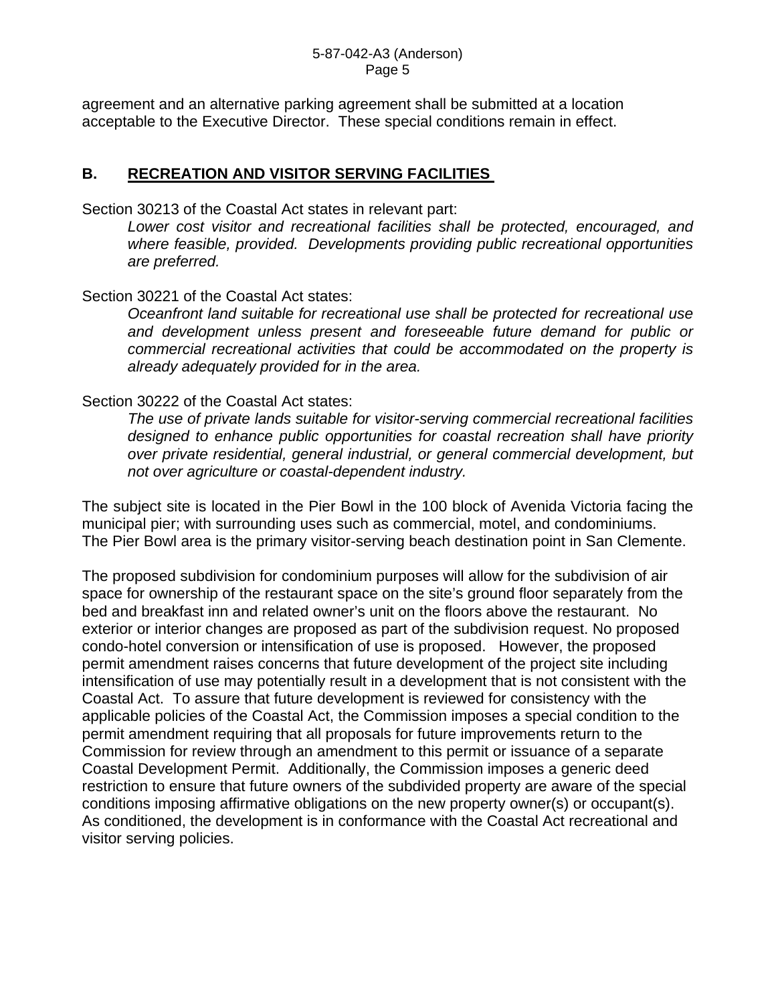#### 5-87-042-A3 (Anderson) Page 5

agreement and an alternative parking agreement shall be submitted at a location acceptable to the Executive Director. These special conditions remain in effect.

#### **B. RECREATION AND VISITOR SERVING FACILITIES**

Section 30213 of the Coastal Act states in relevant part:

*Lower cost visitor and recreational facilities shall be protected, encouraged, and where feasible, provided. Developments providing public recreational opportunities are preferred.* 

Section 30221 of the Coastal Act states:

*Oceanfront land suitable for recreational use shall be protected for recreational use and development unless present and foreseeable future demand for public or commercial recreational activities that could be accommodated on the property is already adequately provided for in the area.* 

#### Section 30222 of the Coastal Act states:

*The use of private lands suitable for visitor-serving commercial recreational facilities designed to enhance public opportunities for coastal recreation shall have priority over private residential, general industrial, or general commercial development, but not over agriculture or coastal-dependent industry.* 

The subject site is located in the Pier Bowl in the 100 block of Avenida Victoria facing the municipal pier; with surrounding uses such as commercial, motel, and condominiums. The Pier Bowl area is the primary visitor-serving beach destination point in San Clemente.

The proposed subdivision for condominium purposes will allow for the subdivision of air space for ownership of the restaurant space on the site's ground floor separately from the bed and breakfast inn and related owner's unit on the floors above the restaurant. No exterior or interior changes are proposed as part of the subdivision request. No proposed condo-hotel conversion or intensification of use is proposed. However, the proposed permit amendment raises concerns that future development of the project site including intensification of use may potentially result in a development that is not consistent with the Coastal Act. To assure that future development is reviewed for consistency with the applicable policies of the Coastal Act, the Commission imposes a special condition to the permit amendment requiring that all proposals for future improvements return to the Commission for review through an amendment to this permit or issuance of a separate Coastal Development Permit. Additionally, the Commission imposes a generic deed restriction to ensure that future owners of the subdivided property are aware of the special conditions imposing affirmative obligations on the new property owner(s) or occupant(s). As conditioned, the development is in conformance with the Coastal Act recreational and visitor serving policies.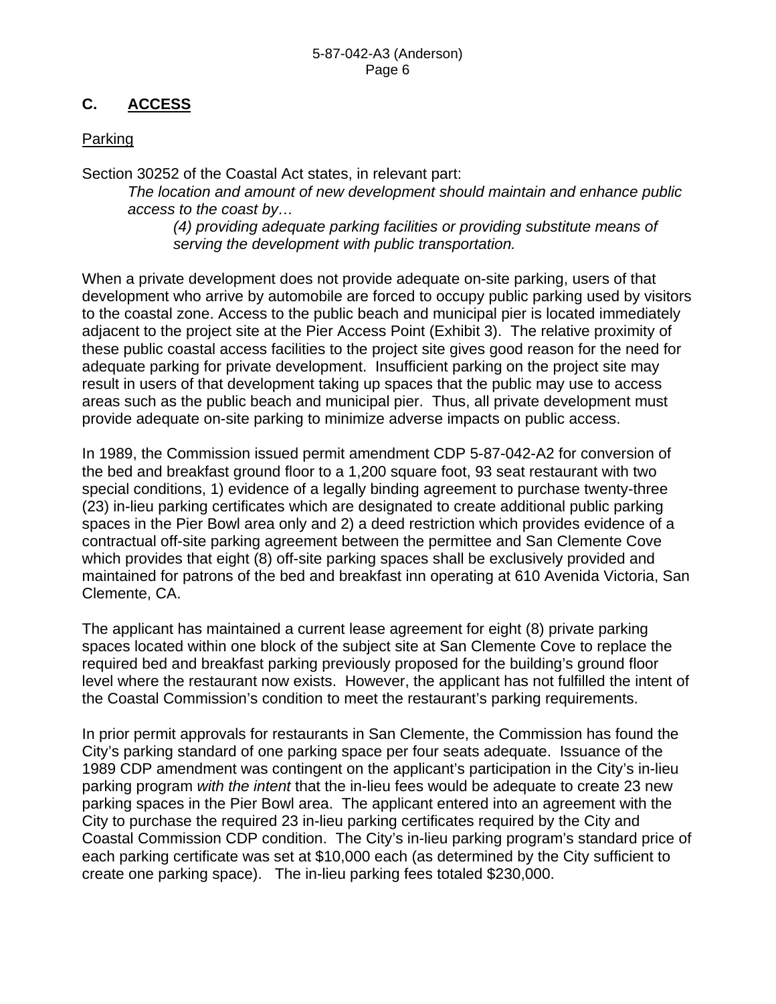### **C. ACCESS**

#### **Parking**

Section 30252 of the Coastal Act states, in relevant part:

*The location and amount of new development should maintain and enhance public access to the coast by…* 

*(4) providing adequate parking facilities or providing substitute means of serving the development with public transportation.*

When a private development does not provide adequate on-site parking, users of that development who arrive by automobile are forced to occupy public parking used by visitors to the coastal zone. Access to the public beach and municipal pier is located immediately adjacent to the project site at the Pier Access Point (Exhibit 3). The relative proximity of these public coastal access facilities to the project site gives good reason for the need for adequate parking for private development. Insufficient parking on the project site may result in users of that development taking up spaces that the public may use to access areas such as the public beach and municipal pier. Thus, all private development must provide adequate on-site parking to minimize adverse impacts on public access.

In 1989, the Commission issued permit amendment CDP 5-87-042-A2 for conversion of the bed and breakfast ground floor to a 1,200 square foot, 93 seat restaurant with two special conditions, 1) evidence of a legally binding agreement to purchase twenty-three (23) in-lieu parking certificates which are designated to create additional public parking spaces in the Pier Bowl area only and 2) a deed restriction which provides evidence of a contractual off-site parking agreement between the permittee and San Clemente Cove which provides that eight (8) off-site parking spaces shall be exclusively provided and maintained for patrons of the bed and breakfast inn operating at 610 Avenida Victoria, San Clemente, CA.

The applicant has maintained a current lease agreement for eight (8) private parking spaces located within one block of the subject site at San Clemente Cove to replace the required bed and breakfast parking previously proposed for the building's ground floor level where the restaurant now exists. However, the applicant has not fulfilled the intent of the Coastal Commission's condition to meet the restaurant's parking requirements.

In prior permit approvals for restaurants in San Clemente, the Commission has found the City's parking standard of one parking space per four seats adequate. Issuance of the 1989 CDP amendment was contingent on the applicant's participation in the City's in-lieu parking program *with the intent* that the in-lieu fees would be adequate to create 23 new parking spaces in the Pier Bowl area. The applicant entered into an agreement with the City to purchase the required 23 in-lieu parking certificates required by the City and Coastal Commission CDP condition. The City's in-lieu parking program's standard price of each parking certificate was set at \$10,000 each (as determined by the City sufficient to create one parking space). The in-lieu parking fees totaled \$230,000.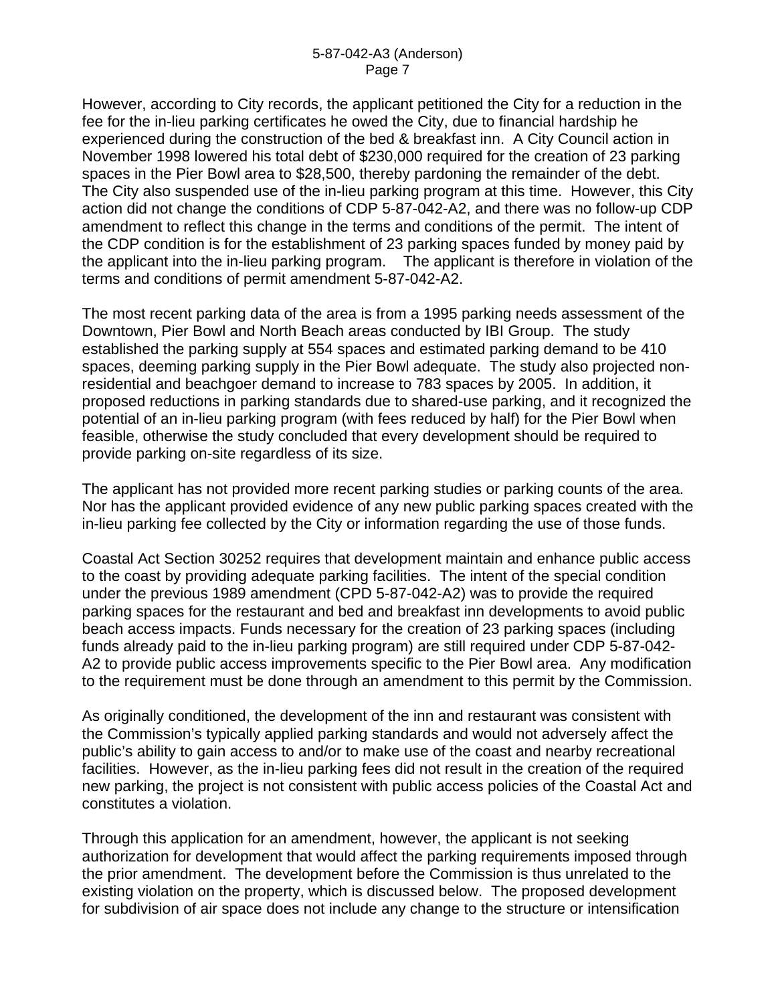However, according to City records, the applicant petitioned the City for a reduction in the fee for the in-lieu parking certificates he owed the City, due to financial hardship he experienced during the construction of the bed & breakfast inn. A City Council action in November 1998 lowered his total debt of \$230,000 required for the creation of 23 parking spaces in the Pier Bowl area to \$28,500, thereby pardoning the remainder of the debt. The City also suspended use of the in-lieu parking program at this time. However, this City action did not change the conditions of CDP 5-87-042-A2, and there was no follow-up CDP amendment to reflect this change in the terms and conditions of the permit. The intent of the CDP condition is for the establishment of 23 parking spaces funded by money paid by the applicant into the in-lieu parking program. The applicant is therefore in violation of the terms and conditions of permit amendment 5-87-042-A2.

The most recent parking data of the area is from a 1995 parking needs assessment of the Downtown, Pier Bowl and North Beach areas conducted by IBI Group. The study established the parking supply at 554 spaces and estimated parking demand to be 410 spaces, deeming parking supply in the Pier Bowl adequate. The study also projected nonresidential and beachgoer demand to increase to 783 spaces by 2005. In addition, it proposed reductions in parking standards due to shared-use parking, and it recognized the potential of an in-lieu parking program (with fees reduced by half) for the Pier Bowl when feasible, otherwise the study concluded that every development should be required to provide parking on-site regardless of its size.

The applicant has not provided more recent parking studies or parking counts of the area. Nor has the applicant provided evidence of any new public parking spaces created with the in-lieu parking fee collected by the City or information regarding the use of those funds.

Coastal Act Section 30252 requires that development maintain and enhance public access to the coast by providing adequate parking facilities. The intent of the special condition under the previous 1989 amendment (CPD 5-87-042-A2) was to provide the required parking spaces for the restaurant and bed and breakfast inn developments to avoid public beach access impacts. Funds necessary for the creation of 23 parking spaces (including funds already paid to the in-lieu parking program) are still required under CDP 5-87-042- A2 to provide public access improvements specific to the Pier Bowl area. Any modification to the requirement must be done through an amendment to this permit by the Commission.

As originally conditioned, the development of the inn and restaurant was consistent with the Commission's typically applied parking standards and would not adversely affect the public's ability to gain access to and/or to make use of the coast and nearby recreational facilities. However, as the in-lieu parking fees did not result in the creation of the required new parking, the project is not consistent with public access policies of the Coastal Act and constitutes a violation.

Through this application for an amendment, however, the applicant is not seeking authorization for development that would affect the parking requirements imposed through the prior amendment. The development before the Commission is thus unrelated to the existing violation on the property, which is discussed below. The proposed development for subdivision of air space does not include any change to the structure or intensification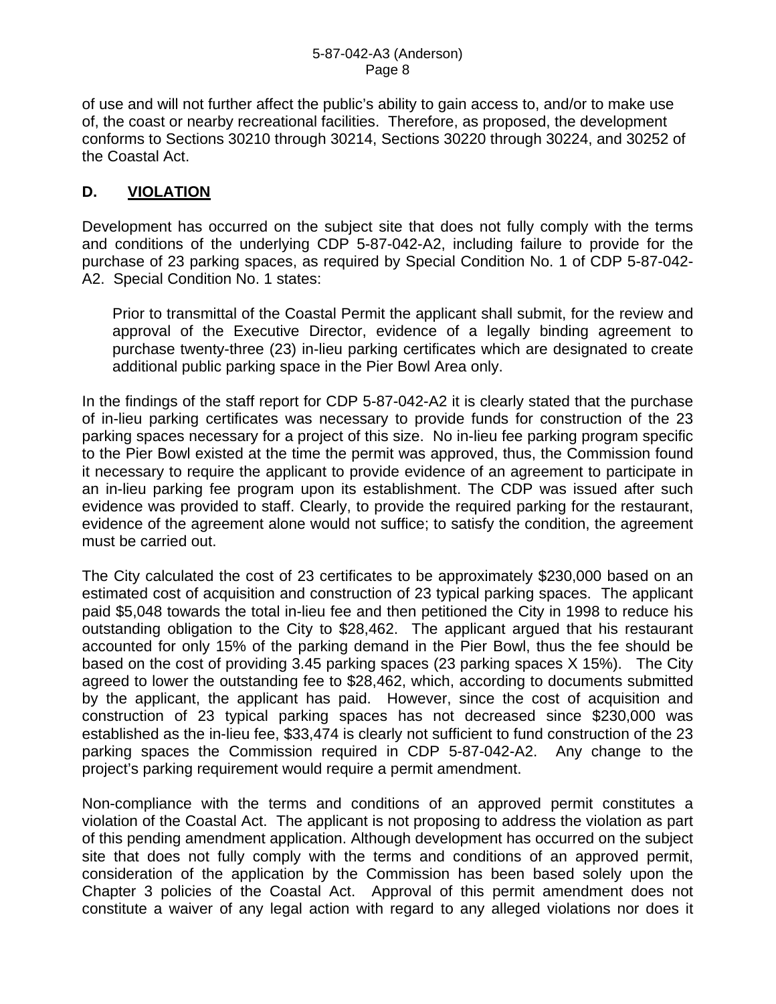of use and will not further affect the public's ability to gain access to, and/or to make use of, the coast or nearby recreational facilities. Therefore, as proposed, the development conforms to Sections 30210 through 30214, Sections 30220 through 30224, and 30252 of the Coastal Act.

#### **D. VIOLATION**

Development has occurred on the subject site that does not fully comply with the terms and conditions of the underlying CDP 5-87-042-A2, including failure to provide for the purchase of 23 parking spaces, as required by Special Condition No. 1 of CDP 5-87-042- A2. Special Condition No. 1 states:

Prior to transmittal of the Coastal Permit the applicant shall submit, for the review and approval of the Executive Director, evidence of a legally binding agreement to purchase twenty-three (23) in-lieu parking certificates which are designated to create additional public parking space in the Pier Bowl Area only.

In the findings of the staff report for CDP 5-87-042-A2 it is clearly stated that the purchase of in-lieu parking certificates was necessary to provide funds for construction of the 23 parking spaces necessary for a project of this size. No in-lieu fee parking program specific to the Pier Bowl existed at the time the permit was approved, thus, the Commission found it necessary to require the applicant to provide evidence of an agreement to participate in an in-lieu parking fee program upon its establishment. The CDP was issued after such evidence was provided to staff. Clearly, to provide the required parking for the restaurant, evidence of the agreement alone would not suffice; to satisfy the condition, the agreement must be carried out.

The City calculated the cost of 23 certificates to be approximately \$230,000 based on an estimated cost of acquisition and construction of 23 typical parking spaces. The applicant paid \$5,048 towards the total in-lieu fee and then petitioned the City in 1998 to reduce his outstanding obligation to the City to \$28,462. The applicant argued that his restaurant accounted for only 15% of the parking demand in the Pier Bowl, thus the fee should be based on the cost of providing 3.45 parking spaces (23 parking spaces X 15%). The City agreed to lower the outstanding fee to \$28,462, which, according to documents submitted by the applicant, the applicant has paid. However, since the cost of acquisition and construction of 23 typical parking spaces has not decreased since \$230,000 was established as the in-lieu fee, \$33,474 is clearly not sufficient to fund construction of the 23 parking spaces the Commission required in CDP 5-87-042-A2. Any change to the project's parking requirement would require a permit amendment.

Non-compliance with the terms and conditions of an approved permit constitutes a violation of the Coastal Act. The applicant is not proposing to address the violation as part of this pending amendment application. Although development has occurred on the subject site that does not fully comply with the terms and conditions of an approved permit, consideration of the application by the Commission has been based solely upon the Chapter 3 policies of the Coastal Act. Approval of this permit amendment does not constitute a waiver of any legal action with regard to any alleged violations nor does it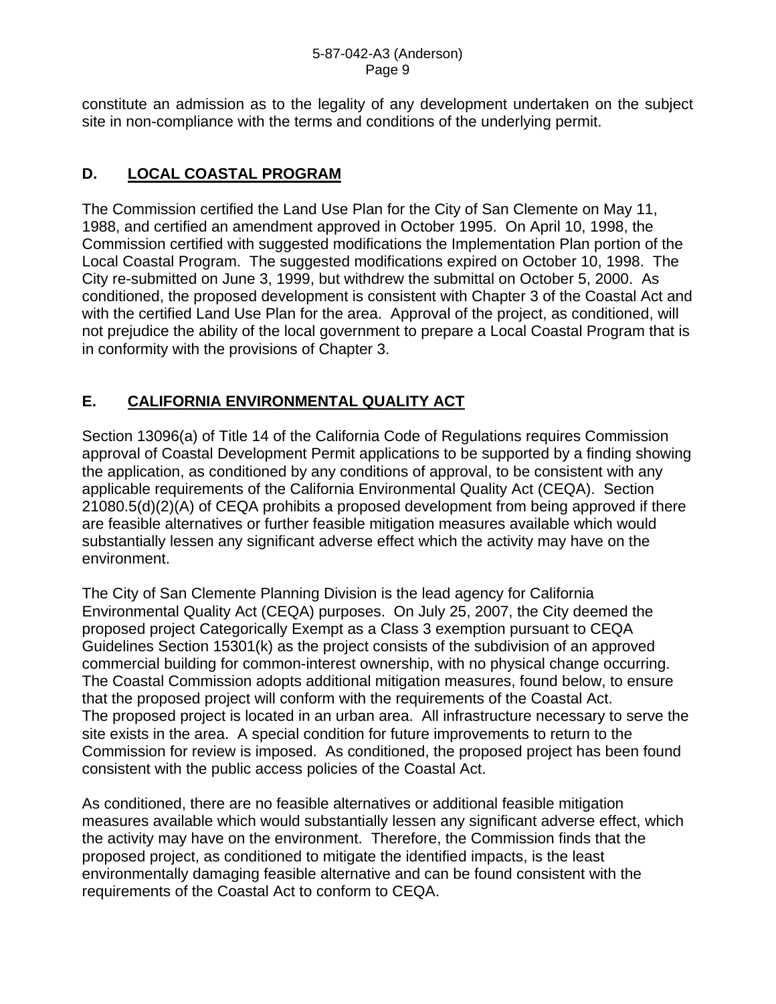constitute an admission as to the legality of any development undertaken on the subject site in non-compliance with the terms and conditions of the underlying permit.

#### **D. LOCAL COASTAL PROGRAM**

The Commission certified the Land Use Plan for the City of San Clemente on May 11, 1988, and certified an amendment approved in October 1995. On April 10, 1998, the Commission certified with suggested modifications the Implementation Plan portion of the Local Coastal Program. The suggested modifications expired on October 10, 1998. The City re-submitted on June 3, 1999, but withdrew the submittal on October 5, 2000. As conditioned, the proposed development is consistent with Chapter 3 of the Coastal Act and with the certified Land Use Plan for the area. Approval of the project, as conditioned, will not prejudice the ability of the local government to prepare a Local Coastal Program that is in conformity with the provisions of Chapter 3.

## **E. CALIFORNIA ENVIRONMENTAL QUALITY ACT**

Section 13096(a) of Title 14 of the California Code of Regulations requires Commission approval of Coastal Development Permit applications to be supported by a finding showing the application, as conditioned by any conditions of approval, to be consistent with any applicable requirements of the California Environmental Quality Act (CEQA). Section 21080.5(d)(2)(A) of CEQA prohibits a proposed development from being approved if there are feasible alternatives or further feasible mitigation measures available which would substantially lessen any significant adverse effect which the activity may have on the environment.

The City of San Clemente Planning Division is the lead agency for California Environmental Quality Act (CEQA) purposes. On July 25, 2007, the City deemed the proposed project Categorically Exempt as a Class 3 exemption pursuant to CEQA Guidelines Section 15301(k) as the project consists of the subdivision of an approved commercial building for common-interest ownership, with no physical change occurring. The Coastal Commission adopts additional mitigation measures, found below, to ensure that the proposed project will conform with the requirements of the Coastal Act. The proposed project is located in an urban area. All infrastructure necessary to serve the site exists in the area. A special condition for future improvements to return to the Commission for review is imposed. As conditioned, the proposed project has been found consistent with the public access policies of the Coastal Act.

As conditioned, there are no feasible alternatives or additional feasible mitigation measures available which would substantially lessen any significant adverse effect, which the activity may have on the environment. Therefore, the Commission finds that the proposed project, as conditioned to mitigate the identified impacts, is the least environmentally damaging feasible alternative and can be found consistent with the requirements of the Coastal Act to conform to CEQA.